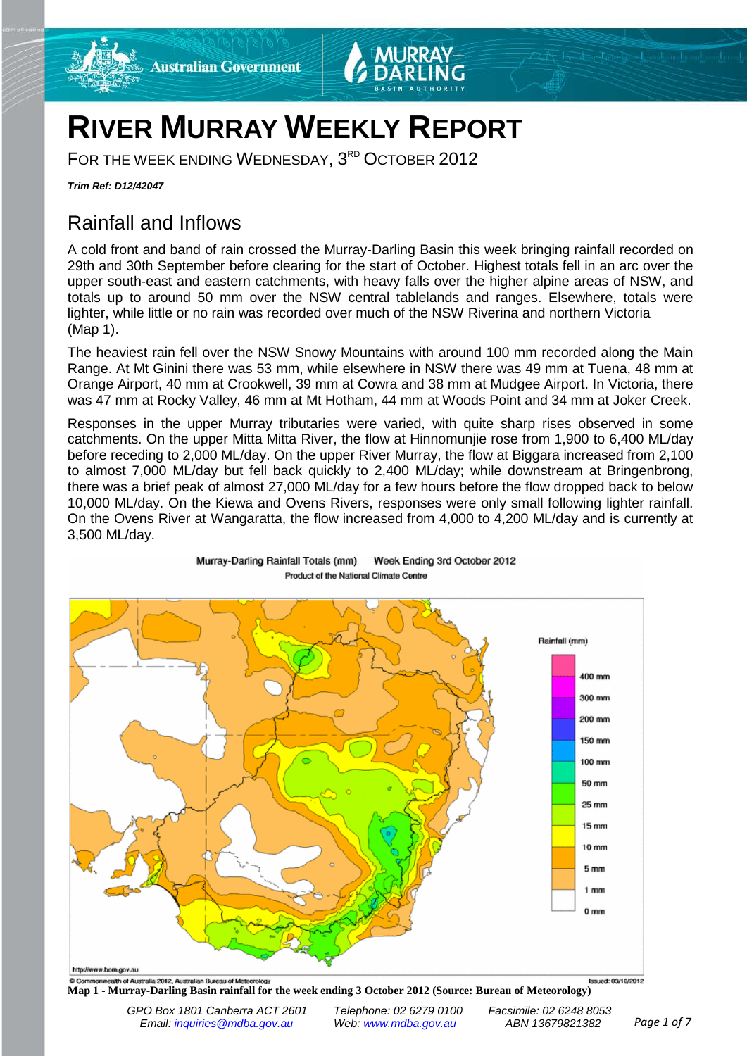

# **RIVER MURRAY WEEKLY REPORT**

FOR THE WEEK ENDING WEDNESDAY, 3<sup>RD</sup> OCTOBER 2012

Murray-Darling Rainfall Totals (mm)

*Trim Ref: D12/42047*

# Rainfall and Inflows

A cold front and band of rain crossed the Murray-Darling Basin this week bringing rainfall recorded on 29th and 30th September before clearing for the start of October. Highest totals fell in an arc over the upper south-east and eastern catchments, with heavy falls over the higher alpine areas of NSW, and totals up to around 50 mm over the NSW central tablelands and ranges. Elsewhere, totals were lighter, while little or no rain was recorded over much of the NSW Riverina and northern Victoria (Map 1).

The heaviest rain fell over the NSW Snowy Mountains with around 100 mm recorded along the Main Range. At Mt Ginini there was 53 mm, while elsewhere in NSW there was 49 mm at Tuena, 48 mm at Orange Airport, 40 mm at Crookwell, 39 mm at Cowra and 38 mm at Mudgee Airport. In Victoria, there was 47 mm at Rocky Valley, 46 mm at Mt Hotham, 44 mm at Woods Point and 34 mm at Joker Creek.

Responses in the upper Murray tributaries were varied, with quite sharp rises observed in some catchments. On the upper Mitta Mitta River, the flow at Hinnomunjie rose from 1,900 to 6,400 ML/day before receding to 2,000 ML/day. On the upper River Murray, the flow at Biggara increased from 2,100 to almost 7,000 ML/day but fell back quickly to 2,400 ML/day; while downstream at Bringenbrong, there was a brief peak of almost 27,000 ML/day for a few hours before the flow dropped back to below 10,000 ML/day. On the Kiewa and Ovens Rivers, responses were only small following lighter rainfall. On the Ovens River at Wangaratta, the flow increased from 4,000 to 4,200 ML/day and is currently at 3,500 ML/day.

Week Ending 3rd October 2012



Product of the National Climate Centre

**Map 1 - Murray-Darling Basin rainfall for the week ending 3 October 2012 (Source: Bureau of Meteorology)**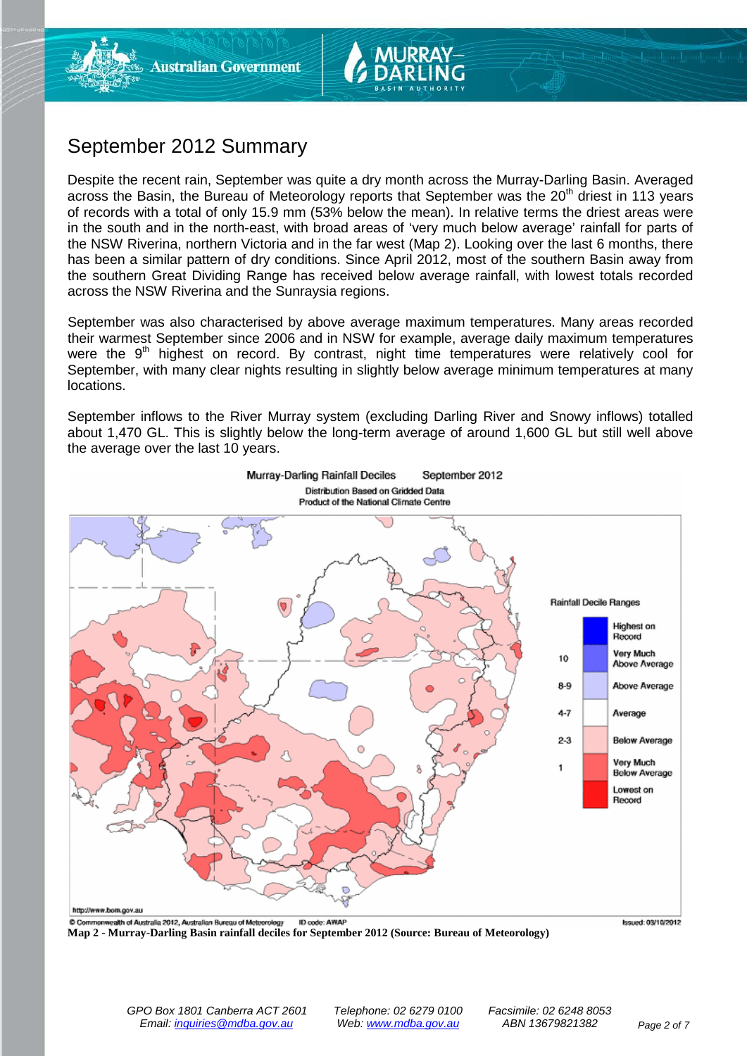## September 2012 Summary

Despite the recent rain, September was quite a dry month across the Murray-Darling Basin. Averaged across the Basin, the Bureau of Meteorology reports that September was the  $20<sup>th</sup>$  driest in 113 years of records with a total of only 15.9 mm (53% below the mean). In relative terms the driest areas were in the south and in the north-east, with broad areas of 'very much below average' rainfall for parts of the NSW Riverina, northern Victoria and in the far west (Map 2). Looking over the last 6 months, there has been a similar pattern of dry conditions. Since April 2012, most of the southern Basin away from the southern Great Dividing Range has received below average rainfall, with lowest totals recorded across the NSW Riverina and the Sunraysia regions.

September was also characterised by above average maximum temperatures. Many areas recorded their warmest September since 2006 and in NSW for example, average daily maximum temperatures were the 9<sup>th</sup> highest on record. By contrast, night time temperatures were relatively cool for September, with many clear nights resulting in slightly below average minimum temperatures at many locations.

September inflows to the River Murray system (excluding Darling River and Snowy inflows) totalled about 1,470 GL. This is slightly below the long-term average of around 1,600 GL but still well above the average over the last 10 years.



**Map 2 - Murray-Darling Basin rainfall deciles for September 2012 (Source: Bureau of Meteorology)**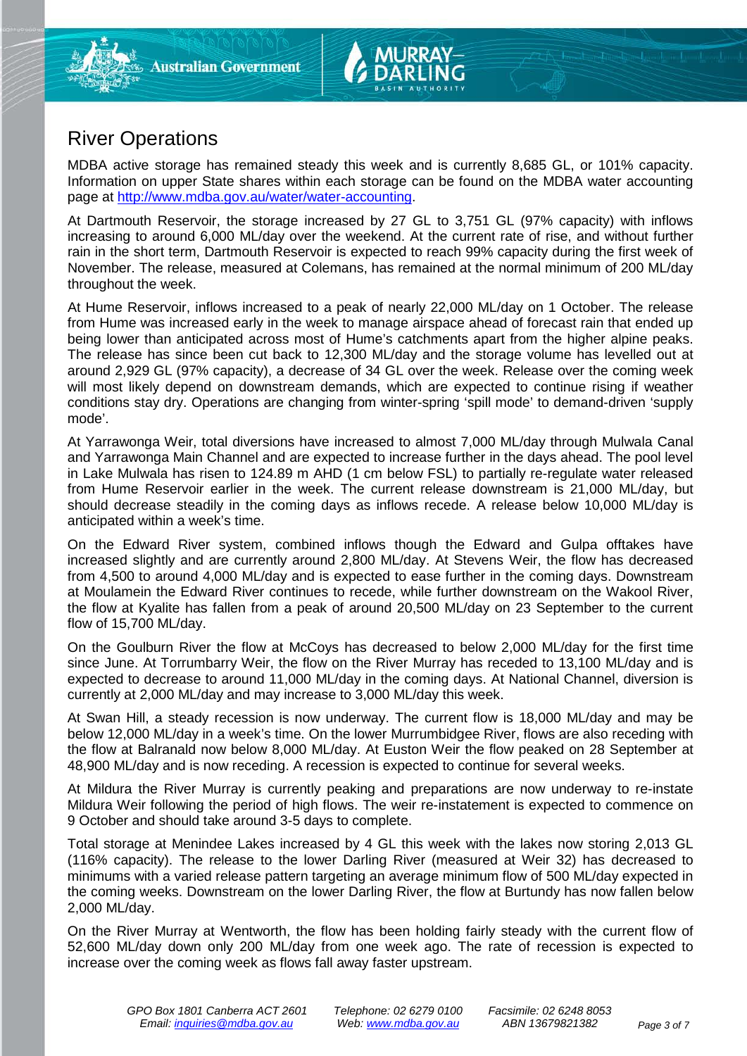# River Operations

MDBA active storage has remained steady this week and is currently 8,685 GL, or 101% capacity. Information on upper State shares within each storage can be found on the MDBA water accounting page at [http://www.mdba.gov.au/water/water-accounting.](http://www.mdba.gov.au/water/water-accounting)

At Dartmouth Reservoir, the storage increased by 27 GL to 3,751 GL (97% capacity) with inflows increasing to around 6,000 ML/day over the weekend. At the current rate of rise, and without further rain in the short term, Dartmouth Reservoir is expected to reach 99% capacity during the first week of November. The release, measured at Colemans, has remained at the normal minimum of 200 ML/day throughout the week.

At Hume Reservoir, inflows increased to a peak of nearly 22,000 ML/day on 1 October. The release from Hume was increased early in the week to manage airspace ahead of forecast rain that ended up being lower than anticipated across most of Hume's catchments apart from the higher alpine peaks. The release has since been cut back to 12,300 ML/day and the storage volume has levelled out at around 2,929 GL (97% capacity), a decrease of 34 GL over the week. Release over the coming week will most likely depend on downstream demands, which are expected to continue rising if weather conditions stay dry. Operations are changing from winter-spring 'spill mode' to demand-driven 'supply mode'.

At Yarrawonga Weir, total diversions have increased to almost 7,000 ML/day through Mulwala Canal and Yarrawonga Main Channel and are expected to increase further in the days ahead. The pool level in Lake Mulwala has risen to 124.89 m AHD (1 cm below FSL) to partially re-regulate water released from Hume Reservoir earlier in the week. The current release downstream is 21,000 ML/day, but should decrease steadily in the coming days as inflows recede. A release below 10,000 ML/day is anticipated within a week's time.

On the Edward River system, combined inflows though the Edward and Gulpa offtakes have increased slightly and are currently around 2,800 ML/day. At Stevens Weir, the flow has decreased from 4,500 to around 4,000 ML/day and is expected to ease further in the coming days. Downstream at Moulamein the Edward River continues to recede, while further downstream on the Wakool River, the flow at Kyalite has fallen from a peak of around 20,500 ML/day on 23 September to the current flow of 15,700 ML/day.

On the Goulburn River the flow at McCoys has decreased to below 2,000 ML/day for the first time since June. At Torrumbarry Weir, the flow on the River Murray has receded to 13,100 ML/day and is expected to decrease to around 11,000 ML/day in the coming days. At National Channel, diversion is currently at 2,000 ML/day and may increase to 3,000 ML/day this week.

At Swan Hill, a steady recession is now underway. The current flow is 18,000 ML/day and may be below 12,000 ML/day in a week's time. On the lower Murrumbidgee River, flows are also receding with the flow at Balranald now below 8,000 ML/day. At Euston Weir the flow peaked on 28 September at 48,900 ML/day and is now receding. A recession is expected to continue for several weeks.

At Mildura the River Murray is currently peaking and preparations are now underway to re-instate Mildura Weir following the period of high flows. The weir re-instatement is expected to commence on 9 October and should take around 3-5 days to complete.

Total storage at Menindee Lakes increased by 4 GL this week with the lakes now storing 2,013 GL (116% capacity). The release to the lower Darling River (measured at Weir 32) has decreased to minimums with a varied release pattern targeting an average minimum flow of 500 ML/day expected in the coming weeks. Downstream on the lower Darling River, the flow at Burtundy has now fallen below 2,000 ML/day.

On the River Murray at Wentworth, the flow has been holding fairly steady with the current flow of 52,600 ML/day down only 200 ML/day from one week ago. The rate of recession is expected to increase over the coming week as flows fall away faster upstream.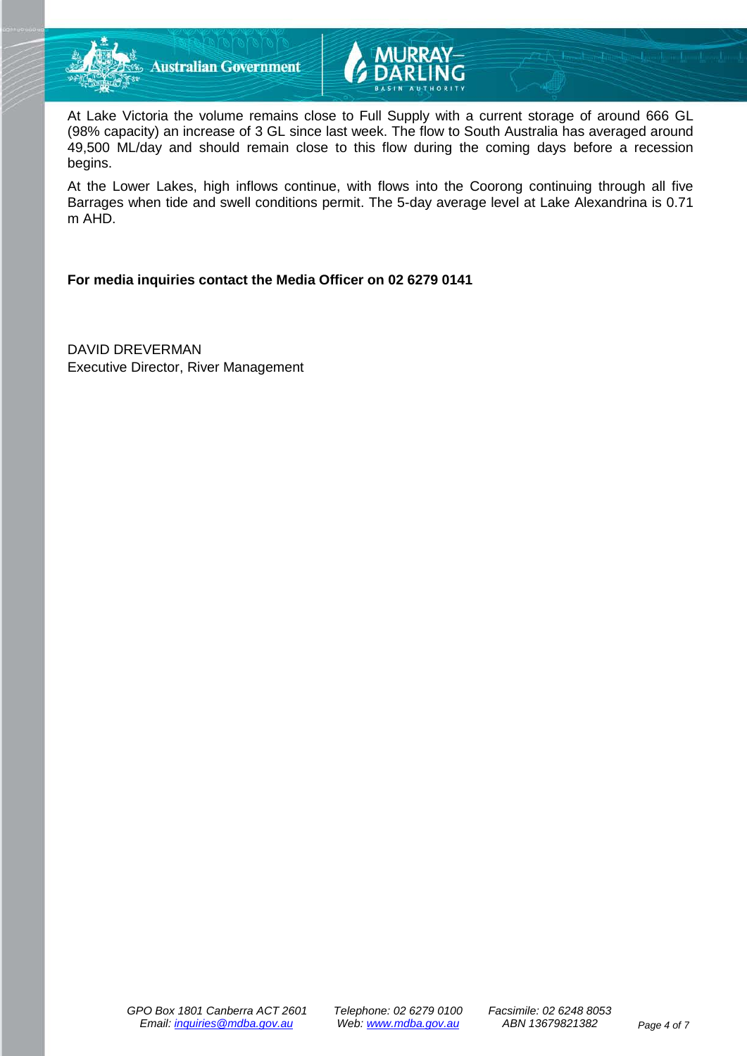



At Lake Victoria the volume remains close to Full Supply with a current storage of around 666 GL (98% capacity) an increase of 3 GL since last week. The flow to South Australia has averaged around 49,500 ML/day and should remain close to this flow during the coming days before a recession begins.

At the Lower Lakes, high inflows continue, with flows into the Coorong continuing through all five Barrages when tide and swell conditions permit. The 5-day average level at Lake Alexandrina is 0.71 m AHD.

### **For media inquiries contact the Media Officer on 02 6279 0141**

DAVID DREVERMAN Executive Director, River Management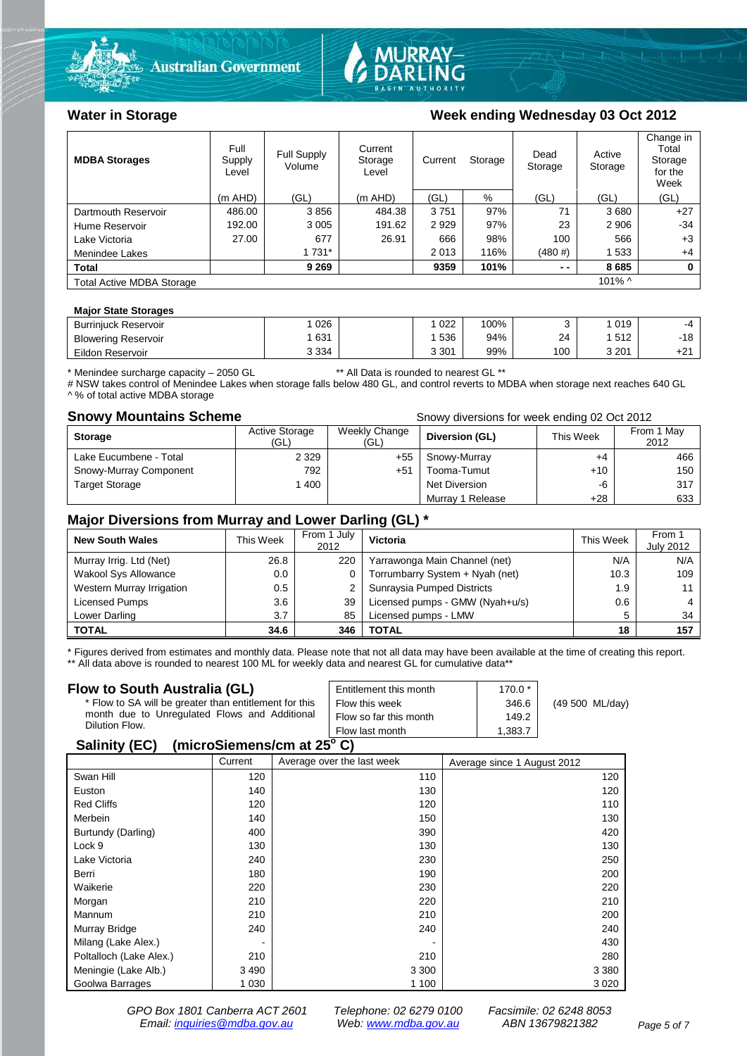



### Water in Storage Week ending Wednesday 03 Oct 2012

| <b>MDBA Storages</b>             | Full<br>Supply<br>Level | Full Supply<br>Volume | Current<br>Storage<br>Level | Current<br>Storage |      | Dead<br>Storage | Active<br>Storage | Change in<br>Total<br>Storage<br>for the<br>Week |
|----------------------------------|-------------------------|-----------------------|-----------------------------|--------------------|------|-----------------|-------------------|--------------------------------------------------|
|                                  | $(m$ AHD)               | (GL)                  | (m AHD)                     | (GL)               | %    | (GL)            | (GL)              | (GL)                                             |
| Dartmouth Reservoir              | 486.00                  | 3856                  | 484.38                      | 3751               | 97%  | 71              | 3680              | $+27$                                            |
| Hume Reservoir                   | 192.00                  | 3 0 0 5               | 191.62                      | 2929               | 97%  | 23              | 2 9 0 6           | $-34$                                            |
| Lake Victoria                    | 27.00                   | 677                   | 26.91                       | 666                | 98%  | 100             | 566               | $+3$                                             |
| Menindee Lakes                   |                         | 1 731*                |                             | 2013               | 116% | (480#)          | 1533              | $+4$                                             |
| <b>Total</b>                     |                         | 9 2 6 9               |                             | 9359               | 101% | $ -$            | 8685              | 0                                                |
| <b>Total Active MDBA Storage</b> |                         |                       |                             |                    |      |                 | $101\%$ ^         |                                                  |

#### **Major State Storages**

| <b>Burrinjuck Reservoir</b> | 026     | 022   | 100% |     | 019   | -4                    |
|-----------------------------|---------|-------|------|-----|-------|-----------------------|
| <b>Blowering Reservoir</b>  | 631     | 536   | 94%  | 24  | 512   | -18                   |
| Eildon Reservoir            | 3 3 3 4 | 3 301 | 99%  | 100 | 3 201 | $\cdot$ $\sim$<br>TZ. |

\* Menindee surcharge capacity – 2050 GL \*\* All Data is rounded to nearest GL \*\*

# NSW takes control of Menindee Lakes when storage falls below 480 GL, and control reverts to MDBA when storage next reaches 640 GL A % of total active MDBA storage

**Snowy Mountains Scheme Snowy diversions for week ending 02 Oct 2012** 

| <b>Storage</b>         | <b>Active Storage</b><br>'GL) | Weekly Change<br>(GL) | Diversion (GL)       | This Week | From 1 May<br>2012 |
|------------------------|-------------------------------|-----------------------|----------------------|-----------|--------------------|
| Lake Eucumbene - Total | 2 3 2 9                       | +55                   | Snowy-Murray         | $+4$      | 466                |
| Snowy-Murray Component | 792                           | $+51$                 | Tooma-Tumut          | $+10$     | 150                |
| <b>Target Storage</b>  | 400                           |                       | <b>Net Diversion</b> | -6        | 317                |
|                        |                               |                       | Murray 1 Release     | +28       | 633                |

### **Major Diversions from Murray and Lower Darling (GL) \***

| <b>New South Wales</b>    | This Week | From 1 July<br>2012 | Victoria                        | This Week | From 1<br><b>July 2012</b> |
|---------------------------|-----------|---------------------|---------------------------------|-----------|----------------------------|
| Murray Irrig. Ltd (Net)   | 26.8      | 220                 | Yarrawonga Main Channel (net)   | N/A       | N/A                        |
| Wakool Sys Allowance      | 0.0       | 0                   | Torrumbarry System + Nyah (net) | 10.3      | 109                        |
| Western Murray Irrigation | 0.5       |                     | Sunraysia Pumped Districts      | 1.9       |                            |
| Licensed Pumps            | 3.6       | 39                  | Licensed pumps - GMW (Nyah+u/s) | 0.6       |                            |
| Lower Darling             | 3.7       | 85                  | Licensed pumps - LMW            | 5         | 34                         |
| <b>TOTAL</b>              | 34.6      | 346                 | TOTAL                           | 18        | 157                        |

\* Figures derived from estimates and monthly data. Please note that not all data may have been available at the time of creating this report.

\*\* All data above is rounded to nearest 100 ML for weekly data and nearest GL for cumulative data\*\*

| Flow to South Australia (GL)                                                                                              | Entitlement this month | $170.0*$ |                 |  |  |
|---------------------------------------------------------------------------------------------------------------------------|------------------------|----------|-----------------|--|--|
| * Flow to SA will be greater than entitlement for this<br>month due to Unregulated Flows and Additional<br>Dilution Flow. | Flow this week         | 346.6    | (49 500 ML/day) |  |  |
|                                                                                                                           | Flow so far this month | 149.2    |                 |  |  |
|                                                                                                                           | Flow last month        | 1.383.7  |                 |  |  |
| $\mathbf{A}$ , $\mathbf{B}$ , $\mathbf{A}$ , $\mathbf{B}$                                                                 |                        |          |                 |  |  |

#### **Salinity (EC) (microSiemens/cm at 25o C)**

|                         | Current | Average over the last week | Average since 1 August 2012 |
|-------------------------|---------|----------------------------|-----------------------------|
| Swan Hill               | 120     | 110                        | 120                         |
| Euston                  | 140     | 130                        | 120                         |
| <b>Red Cliffs</b>       | 120     | 120                        | 110                         |
| Merbein                 | 140     | 150                        | 130                         |
| Burtundy (Darling)      | 400     | 390                        | 420                         |
| Lock 9                  | 130     | 130                        | 130                         |
| Lake Victoria           | 240     | 230                        | 250                         |
| Berri                   | 180     | 190                        | 200                         |
| Waikerie                | 220     | 230                        | 220                         |
| Morgan                  | 210     | 220                        | 210                         |
| Mannum                  | 210     | 210                        | 200                         |
| Murray Bridge           | 240     | 240                        | 240                         |
| Milang (Lake Alex.)     | ٠       |                            | 430                         |
| Poltalloch (Lake Alex.) | 210     | 210                        | 280                         |
| Meningie (Lake Alb.)    | 3 4 9 0 | 3 3 0 0                    | 3 3 8 0                     |
| Goolwa Barrages         | 1 0 3 0 | 1 100                      | 3 0 2 0                     |

*GPO Box 1801 Canberra ACT 2601 Telephone: 02 6279 0100 Facsimile: 02 6248 8053 Email: [inquiries@mdba.gov.au](mailto:inquiries@mdba.gov.au) Web: [www.mdba.gov.au](http://www.mdba.gov.au/) ABN 13679821382 Page 5 of 7*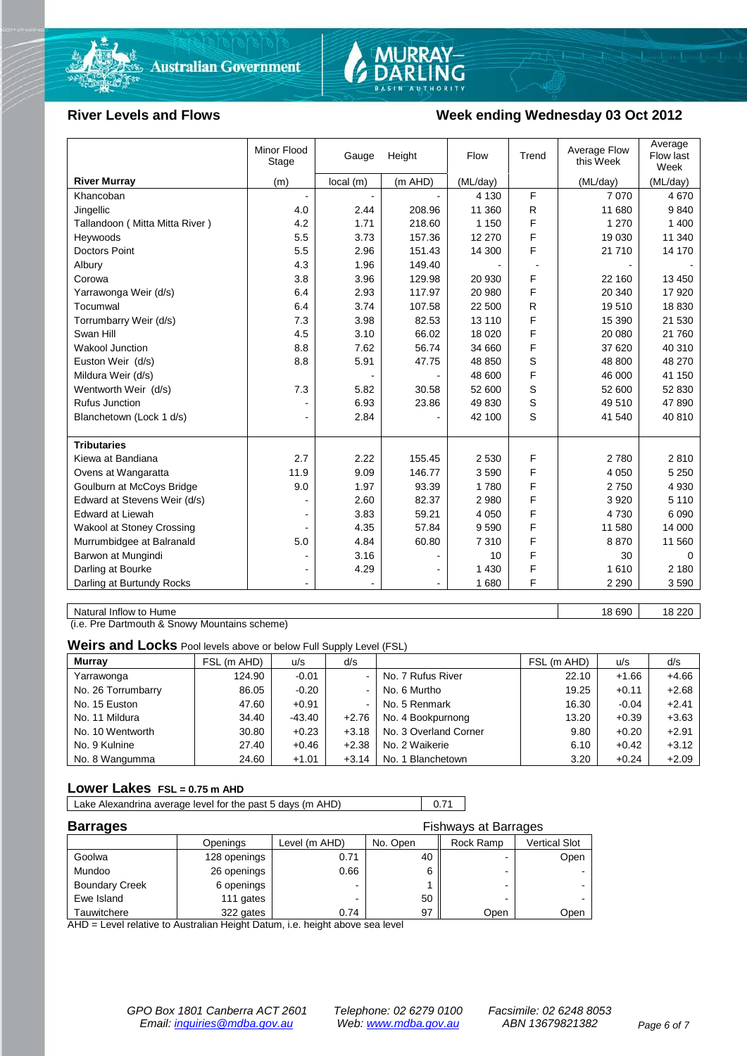

# MURRAY-<br>DARLING

#### River Levels and Flows **Week ending Wednesday 03 Oct 2012**

|                                  | Minor Flood<br>Stage | Gauge    | Height         | Flow     | Trend | Average Flow<br>this Week | Average<br>Flow last<br>Week |
|----------------------------------|----------------------|----------|----------------|----------|-------|---------------------------|------------------------------|
| <b>River Murray</b>              | (m)                  | local(m) | (m AHD)        | (ML/day) |       | (ML/day)                  | (ML/day)                     |
| Khancoban                        |                      |          |                | 4 1 3 0  | F     | 7 0 7 0                   | 4670                         |
| Jingellic                        | 4.0                  | 2.44     | 208.96         | 11 360   | R     | 11 680                    | 9840                         |
| Tallandoon (Mitta Mitta River)   | 4.2                  | 1.71     | 218.60         | 1 1 5 0  | F     | 1 270                     | 1 400                        |
| Heywoods                         | 5.5                  | 3.73     | 157.36         | 12 270   | F     | 19 0 30                   | 11 340                       |
| <b>Doctors Point</b>             | 5.5                  | 2.96     | 151.43         | 14 300   | F     | 21 710                    | 14 170                       |
| Albury                           | 4.3                  | 1.96     | 149.40         |          |       |                           |                              |
| Corowa                           | 3.8                  | 3.96     | 129.98         | 20 930   | F     | 22 160                    | 13 450                       |
| Yarrawonga Weir (d/s)            | 6.4                  | 2.93     | 117.97         | 20 980   | F     | 20 340                    | 17 920                       |
| Tocumwal                         | 6.4                  | 3.74     | 107.58         | 22 500   | R     | 19510                     | 18 8 30                      |
| Torrumbarry Weir (d/s)           | 7.3                  | 3.98     | 82.53          | 13 110   | F     | 15 390                    | 21 530                       |
| Swan Hill                        | 4.5                  | 3.10     | 66.02          | 18 0 20  | F     | 20 080                    | 21 760                       |
| Wakool Junction                  | 8.8                  | 7.62     | 56.74          | 34 660   | F     | 37 620                    | 40 310                       |
| Euston Weir (d/s)                | 8.8                  | 5.91     | 47.75          | 48 850   | S     | 48 800                    | 48 270                       |
| Mildura Weir (d/s)               |                      |          |                | 48 600   | F     | 46 000                    | 41 150                       |
| Wentworth Weir (d/s)             | 7.3                  | 5.82     | 30.58          | 52 600   | S     | 52 600                    | 52 830                       |
| <b>Rufus Junction</b>            |                      | 6.93     | 23.86          | 49 830   | S     | 49 510                    | 47 890                       |
| Blanchetown (Lock 1 d/s)         | $\blacksquare$       | 2.84     |                | 42 100   | S     | 41 540                    | 40 810                       |
|                                  |                      |          |                |          |       |                           |                              |
| <b>Tributaries</b>               |                      |          |                |          |       |                           |                              |
| Kiewa at Bandiana                | 2.7                  | 2.22     | 155.45         | 2 5 3 0  | F     | 2780                      | 2810                         |
| Ovens at Wangaratta              | 11.9                 | 9.09     | 146.77         | 3590     | F     | 4 0 5 0                   | 5 2 5 0                      |
| Goulburn at McCoys Bridge        | 9.0                  | 1.97     | 93.39          | 1780     | F     | 2750                      | 4 9 3 0                      |
| Edward at Stevens Weir (d/s)     |                      | 2.60     | 82.37          | 2 9 8 0  | F     | 3920                      | 5 1 1 0                      |
| Edward at Liewah                 |                      | 3.83     | 59.21          | 4 0 5 0  | F     | 4730                      | 6 0 9 0                      |
| <b>Wakool at Stoney Crossing</b> |                      | 4.35     | 57.84          | 9590     | F     | 11 580                    | 14 000                       |
| Murrumbidgee at Balranald        | 5.0                  | 4.84     | 60.80          | 7310     | F     | 8870                      | 11 560                       |
| Barwon at Mungindi               |                      | 3.16     |                | 10       | F     | 30                        | $\Omega$                     |
| Darling at Bourke                | ۰                    | 4.29     |                | 1 4 3 0  | F     | 1610                      | 2 1 8 0                      |
| Darling at Burtundy Rocks        | $\blacksquare$       |          | $\blacksquare$ | 1680     | F     | 2 2 9 0                   | 3590                         |

Natural Inflow to Hume 18 220 18 220

(i.e. Pre Dartmouth & Snowy Mountains scheme)

**Weirs and Locks** Pool levels above or below Full Supply Level (FSL)

| <b>Murray</b>      | FSL (m AHD) | u/s     | d/s                      |                       | FSL (m AHD) | u/s     | d/s     |
|--------------------|-------------|---------|--------------------------|-----------------------|-------------|---------|---------|
| Yarrawonga         | 124.90      | $-0.01$ | $\,$                     | No. 7 Rufus River     | 22.10       | $+1.66$ | $+4.66$ |
| No. 26 Torrumbarry | 86.05       | $-0.20$ | $\,$                     | No. 6 Murtho          | 19.25       | $+0.11$ | $+2.68$ |
| No. 15 Euston      | 47.60       | $+0.91$ | $\overline{\phantom{a}}$ | No. 5 Renmark         | 16.30       | $-0.04$ | $+2.41$ |
| No. 11 Mildura     | 34.40       | -43.40  | $+2.76$                  | No. 4 Bookpurnong     | 13.20       | $+0.39$ | $+3.63$ |
| No. 10 Wentworth   | 30.80       | $+0.23$ | $+3.18$                  | No. 3 Overland Corner | 9.80        | $+0.20$ | $+2.91$ |
| No. 9 Kulnine      | 27.40       | $+0.46$ | $+2.38$                  | No. 2 Waikerie        | 6.10        | $+0.42$ | $+3.12$ |
| No. 8 Wangumma     | 24.60       | $+1.01$ | $+3.14$                  | No. 1 Blanchetown     | 3.20        | $+0.24$ | $+2.09$ |

#### **Lower Lakes FSL = 0.75 m AHD**

Lake Alexandrina average level for the past 5 days (m AHD) 0.71

| <b>Barrages</b>       | <b>Fishways at Barrages</b> |               |          |           |                      |  |
|-----------------------|-----------------------------|---------------|----------|-----------|----------------------|--|
|                       | Openings                    | Level (m AHD) | No. Open | Rock Ramp | <b>Vertical Slot</b> |  |
| Goolwa                | 128 openings                | 0.71          | 40       |           | Open                 |  |
| Mundoo                | 26 openings                 | 0.66          |          | -         |                      |  |
| <b>Boundary Creek</b> | 6 openings                  |               |          | -         |                      |  |
| Ewe Island            | 111 gates                   |               | 50       |           |                      |  |
| Tauwitchere           | 322 gates                   | 0.74          | 97       | Open      | Open                 |  |

AHD = Level relative to Australian Height Datum, i.e. height above sea level